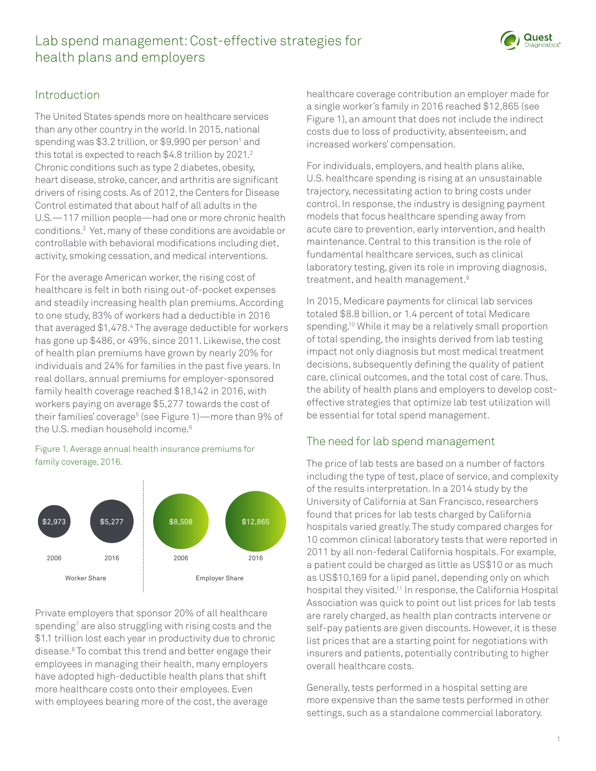# Lab spend management: Cost-effective strategies for health plans and employers



### Introduction

The United States spends more on healthcare services than any other country in the world. In 2015, national spending was \$3.2 trillion, or \$9,990 per person<sup>1</sup> and this total is expected to reach  $$4.8$  trillion by 2021. $^2$ Chronic conditions such as type 2 diabetes, obesity, heart disease, stroke, cancer, and arthritis are significant drivers of rising costs. As of 2012, the Centers for Disease Control estimated that about half of all adults in the U.S.—117 million people—had one or more chronic health conditions.3 Yet, many of these conditions are avoidable or controllable with behavioral modifications including diet, activity, smoking cessation, and medical interventions.

For the average American worker, the rising cost of healthcare is felt in both rising out-of-pocket expenses and steadily increasing health plan premiums. According to one study, 83% of workers had a deductible in 2016 that averaged \$1,478.4 The average deductible for workers has gone up \$486, or 49%, since 2011. Likewise, the cost of health plan premiums have grown by nearly 20% for individuals and 24% for families in the past five years. In real dollars, annual premiums for employer-sponsored family health coverage reached \$18,142 in 2016, with workers paying on average \$5,277 towards the cost of their families' coverage<sup>5</sup> (see Figure 1)—more than 9% of the U.S. median household income.<sup>6</sup>

#### Figure 1. Average annual health insurance premiums for family coverage, 2016.



Private employers that sponsor 20% of all healthcare spending<sup>7</sup> are also struggling with rising costs and the \$1.1 trillion lost each year in productivity due to chronic disease.8 To combat this trend and better engage their employees in managing their health, many employers have adopted high-deductible health plans that shift more healthcare costs onto their employees. Even with employees bearing more of the cost, the average

healthcare coverage contribution an employer made for a single worker's family in 2016 reached \$12,865 (see Figure 1), an amount that does not include the indirect costs due to loss of productivity, absenteeism, and increased workers' compensation.

For individuals, employers, and health plans alike, U.S. healthcare spending is rising at an unsustainable trajectory, necessitating action to bring costs under control. In response, the industry is designing payment models that focus healthcare spending away from acute care to prevention, early intervention, and health maintenance. Central to this transition is the role of fundamental healthcare services, such as clinical laboratory testing, given its role in improving diagnosis, treatment, and health management.9

In 2015, Medicare payments for clinical lab services totaled \$8.8 billion, or 1.4 percent of total Medicare spending.<sup>10</sup> While it may be a relatively small proportion of total spending, the insights derived from lab testing impact not only diagnosis but most medical treatment decisions, subsequently defining the quality of patient care, clinical outcomes, and the total cost of care. Thus, the ability of health plans and employers to develop costeffective strategies that optimize lab test utilization will be essential for total spend management.

## The need for lab spend management

The price of lab tests are based on a number of factors including the type of test, place of service, and complexity of the results interpretation. In a 2014 study by the University of California at San Francisco, researchers found that prices for lab tests charged by California hospitals varied greatly. The study compared charges for 10 common clinical laboratory tests that were reported in 2011 by all non-federal California hospitals. For example, a patient could be charged as little as US\$10 or as much as US\$10,169 for a lipid panel, depending only on which hospital they visited.11 In response, the California Hospital Association was quick to point out list prices for lab tests are rarely charged, as health plan contracts intervene or self-pay patients are given discounts. However, it is these list prices that are a starting point for negotiations with insurers and patients, potentially contributing to higher overall healthcare costs.

Generally, tests performed in a hospital setting are more expensive than the same tests performed in other settings, such as a standalone commercial laboratory.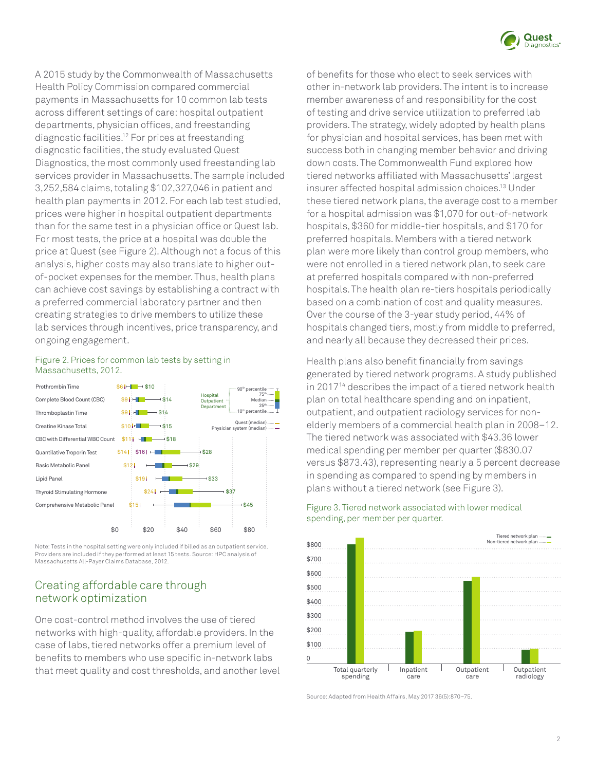

A 2015 study by the Commonwealth of Massachusetts Health Policy Commission compared commercial payments in Massachusetts for 10 common lab tests across different settings of care: hospital outpatient departments, physician offices, and freestanding diagnostic facilities.12 For prices at freestanding diagnostic facilities, the study evaluated Quest Diagnostics, the most commonly used freestanding lab services provider in Massachusetts. The sample included 3,252,584 claims, totaling \$102,327,046 in patient and health plan payments in 2012. For each lab test studied, prices were higher in hospital outpatient departments than for the same test in a physician office or Quest lab. For most tests, the price at a hospital was double the price at Quest (see Figure 2). Although not a focus of this analysis, higher costs may also translate to higher outof-pocket expenses for the member. Thus, health plans can achieve cost savings by establishing a contract with a preferred commercial laboratory partner and then creating strategies to drive members to utilize these lab services through incentives, price transparency, and ongoing engagement.



#### Figure 2. Prices for common lab tests by setting in Massachusetts, 2012.

\$12

 $$14$   $$16$   $-$ 

Note: Tests in the hospital setting were only included if billed as an outpatient service. Providers are included if they performed at least 15 tests. Source: HPC analysis of Massachusetts All-Payer Claims Database, 2012.

\$24

\$19<sup>1</sup>

\$15<sup>1</sup>

\$0 \$20 \$40 \$60 \$80

\$29

\$28

 $-$ \$33

 $$37$ 

\$45

75th

 $25<sup>th</sup>$ 

### Creating affordable care through network optimization

Quantilative Troporin Test Basic Metabolic Panel Lipid Panel

Thyroid Stimulating Hormone Comprehensive Metabolic Panel

One cost-control method involves the use of tiered networks with high-quality, affordable providers. In the case of labs, tiered networks offer a premium level of benefits to members who use specific in-network labs that meet quality and cost thresholds, and another level of benefits for those who elect to seek services with other in-network lab providers. The intent is to increase member awareness of and responsibility for the cost of testing and drive service utilization to preferred lab providers. The strategy, widely adopted by health plans for physician and hospital services, has been met with success both in changing member behavior and driving down costs. The Commonwealth Fund explored how tiered networks affiliated with Massachusetts' largest insurer affected hospital admission choices.13 Under these tiered network plans, the average cost to a member for a hospital admission was \$1,070 for out-of-network hospitals, \$360 for middle-tier hospitals, and \$170 for preferred hospitals. Members with a tiered network plan were more likely than control group members, who were not enrolled in a tiered network plan, to seek care at preferred hospitals compared with non-preferred hospitals. The health plan re-tiers hospitals periodically based on a combination of cost and quality measures. Over the course of the 3-year study period, 44% of hospitals changed tiers, mostly from middle to preferred, and nearly all because they decreased their prices.

Health plans also benefit financially from savings generated by tiered network programs. A study published in 201714 describes the impact of a tiered network health plan on total healthcare spending and on inpatient, outpatient, and outpatient radiology services for nonelderly members of a commercial health plan in 2008–12. The tiered network was associated with \$43.36 lower medical spending per member per quarter (\$830.07 versus \$873.43), representing nearly a 5 percent decrease in spending as compared to spending by members in plans without a tiered network (see Figure 3).



Figure 3. Tiered network associated with lower medical spending, per member per quarter.

Source: Adapted from Health Affairs, May 2017 36(5):870–75.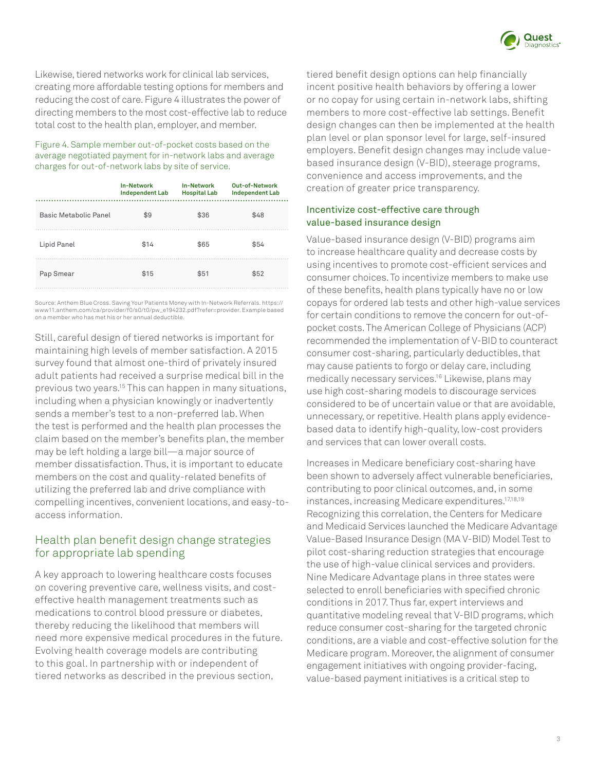

Likewise, tiered networks work for clinical lab services, creating more affordable testing options for members and reducing the cost of care. Figure 4 illustrates the power of directing members to the most cost-effective lab to reduce total cost to the health plan, employer, and member.

Figure 4. Sample member out-of-pocket costs based on the average negotiated payment for in-network labs and average charges for out-of-network labs by site of service.

|                       | <b>In-Network</b><br><b>Independent Lab</b> | <b>In-Network</b><br><b>Hospital Lab</b> | <b>Out-of-Network</b><br><b>Independent Lab</b> |
|-----------------------|---------------------------------------------|------------------------------------------|-------------------------------------------------|
| Basic Metabolic Panel | \$9                                         | \$36                                     | \$48                                            |
| Lipid Panel           | \$14                                        | \$65                                     | \$54                                            |
| Pap Smear             | \$15                                        | \$51                                     | \$52                                            |

Source: Anthem Blue Cross. Saving Your Patients Money with In-Network Referrals. https:// www11.anthem.com/ca/provider/f0/s0/t0/pw\_e194232.pdf?refer=provider. Example based on a member who has met his or her annual deductible.

Still, careful design of tiered networks is important for maintaining high levels of member satisfaction. A 2015 survey found that almost one-third of privately insured adult patients had received a surprise medical bill in the previous two years.15 This can happen in many situations, including when a physician knowingly or inadvertently sends a member's test to a non-preferred lab. When the test is performed and the health plan processes the claim based on the member's benefits plan, the member may be left holding a large bill—a major source of member dissatisfaction. Thus, it is important to educate members on the cost and quality-related benefits of utilizing the preferred lab and drive compliance with compelling incentives, convenient locations, and easy-toaccess information.

### Health plan benefit design change strategies for appropriate lab spending

A key approach to lowering healthcare costs focuses on covering preventive care, wellness visits, and costeffective health management treatments such as medications to control blood pressure or diabetes, thereby reducing the likelihood that members will need more expensive medical procedures in the future. Evolving health coverage models are contributing to this goal. In partnership with or independent of tiered networks as described in the previous section,

tiered benefit design options can help financially incent positive health behaviors by offering a lower or no copay for using certain in-network labs, shifting members to more cost-effective lab settings. Benefit design changes can then be implemented at the health plan level or plan sponsor level for large, self-insured employers. Benefit design changes may include valuebased insurance design (V-BID), steerage programs, convenience and access improvements, and the creation of greater price transparency.

#### Incentivize cost-effective care through value-based insurance design

Value-based insurance design (V-BID) programs aim to increase healthcare quality and decrease costs by using incentives to promote cost-efficient services and consumer choices. To incentivize members to make use of these benefits, health plans typically have no or low copays for ordered lab tests and other high-value services for certain conditions to remove the concern for out-ofpocket costs. The American College of Physicians (ACP) recommended the implementation of V-BID to counteract consumer cost-sharing, particularly deductibles, that may cause patients to forgo or delay care, including medically necessary services.16 Likewise, plans may use high cost-sharing models to discourage services considered to be of uncertain value or that are avoidable, unnecessary, or repetitive. Health plans apply evidencebased data to identify high-quality, low-cost providers and services that can lower overall costs.

Increases in Medicare beneficiary cost-sharing have been shown to adversely affect vulnerable beneficiaries, contributing to poor clinical outcomes, and, in some instances, increasing Medicare expenditures.<sup>17,18,19</sup> Recognizing this correlation, the Centers for Medicare and Medicaid Services launched the Medicare Advantage Value-Based Insurance Design (MA V-BID) Model Test to pilot cost-sharing reduction strategies that encourage the use of high-value clinical services and providers. Nine Medicare Advantage plans in three states were selected to enroll beneficiaries with specified chronic conditions in 2017. Thus far, expert interviews and quantitative modeling reveal that V-BID programs, which reduce consumer cost-sharing for the targeted chronic conditions, are a viable and cost-effective solution for the Medicare program. Moreover, the alignment of consumer engagement initiatives with ongoing provider-facing, value-based payment initiatives is a critical step to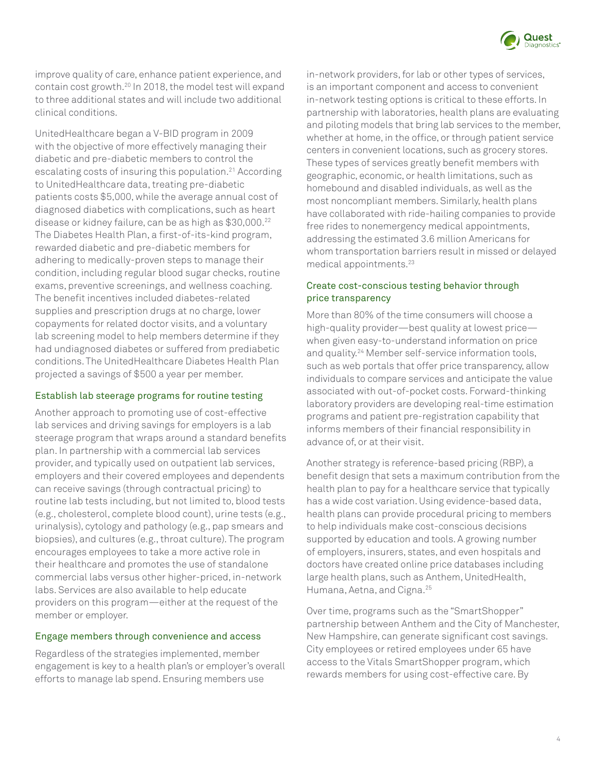

improve quality of care, enhance patient experience, and contain cost growth.20 In 2018, the model test will expand to three additional states and will include two additional clinical conditions.

UnitedHealthcare began a V-BID program in 2009 with the objective of more effectively managing their diabetic and pre-diabetic members to control the escalating costs of insuring this population.<sup>21</sup> According to UnitedHealthcare data, treating pre-diabetic patients costs \$5,000, while the average annual cost of diagnosed diabetics with complications, such as heart disease or kidney failure, can be as high as \$30,000.<sup>22</sup> The Diabetes Health Plan, a first-of-its-kind program, rewarded diabetic and pre-diabetic members for adhering to medically-proven steps to manage their condition, including regular blood sugar checks, routine exams, preventive screenings, and wellness coaching. The benefit incentives included diabetes-related supplies and prescription drugs at no charge, lower copayments for related doctor visits, and a voluntary lab screening model to help members determine if they had undiagnosed diabetes or suffered from prediabetic conditions. The UnitedHealthcare Diabetes Health Plan projected a savings of \$500 a year per member.

#### Establish lab steerage programs for routine testing

Another approach to promoting use of cost-effective lab services and driving savings for employers is a lab steerage program that wraps around a standard benefits plan. In partnership with a commercial lab services provider, and typically used on outpatient lab services, employers and their covered employees and dependents can receive savings (through contractual pricing) to routine lab tests including, but not limited to, blood tests (e.g., cholesterol, complete blood count), urine tests (e.g., urinalysis), cytology and pathology (e.g., pap smears and biopsies), and cultures (e.g., throat culture). The program encourages employees to take a more active role in their healthcare and promotes the use of standalone commercial labs versus other higher-priced, in-network labs. Services are also available to help educate providers on this program—either at the request of the member or employer.

#### Engage members through convenience and access

Regardless of the strategies implemented, member engagement is key to a health plan's or employer's overall efforts to manage lab spend. Ensuring members use

in-network providers, for lab or other types of services, is an important component and access to convenient in-network testing options is critical to these efforts. In partnership with laboratories, health plans are evaluating and piloting models that bring lab services to the member, whether at home, in the office, or through patient service centers in convenient locations, such as grocery stores. These types of services greatly benefit members with geographic, economic, or health limitations, such as homebound and disabled individuals, as well as the most noncompliant members. Similarly, health plans have collaborated with ride-hailing companies to provide free rides to nonemergency medical appointments, addressing the estimated 3.6 million Americans for whom transportation barriers result in missed or delayed medical appointments.23

#### Create cost-conscious testing behavior through price transparency

More than 80% of the time consumers will choose a high-quality provider—best quality at lowest price when given easy-to-understand information on price and quality.24 Member self-service information tools, such as web portals that offer price transparency, allow individuals to compare services and anticipate the value associated with out-of-pocket costs. Forward-thinking laboratory providers are developing real-time estimation programs and patient pre-registration capability that informs members of their financial responsibility in advance of, or at their visit.

Another strategy is reference-based pricing (RBP), a benefit design that sets a maximum contribution from the health plan to pay for a healthcare service that typically has a wide cost variation. Using evidence-based data, health plans can provide procedural pricing to members to help individuals make cost-conscious decisions supported by education and tools. A growing number of employers, insurers, states, and even hospitals and doctors have created online price databases including large health plans, such as Anthem, UnitedHealth, Humana, Aetna, and Cigna.25

Over time, programs such as the "SmartShopper" partnership between Anthem and the City of Manchester, New Hampshire, can generate significant cost savings. City employees or retired employees under 65 have access to the Vitals SmartShopper program, which rewards members for using cost-effective care. By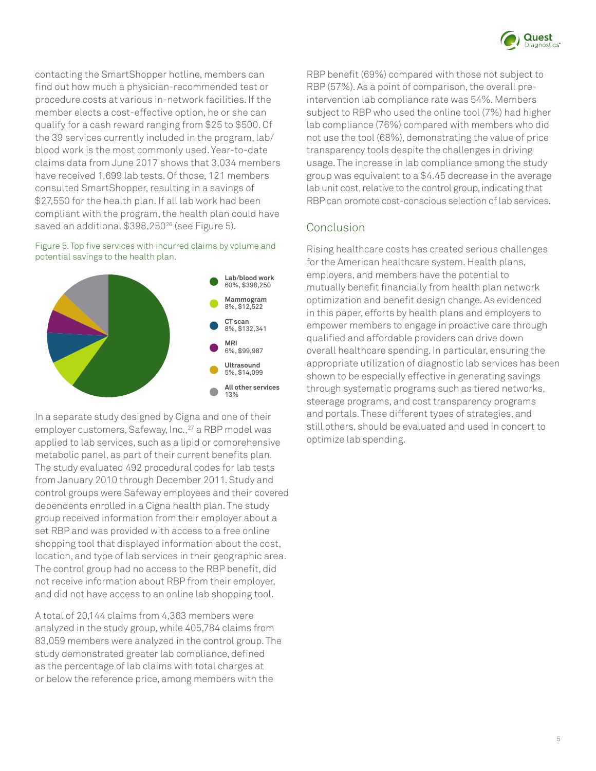

contacting the SmartShopper hotline, members can find out how much a physician-recommended test or procedure costs at various in-network facilities. If the member elects a cost-effective option, he or she can qualify for a cash reward ranging from \$25 to \$500. Of the 39 services currently included in the program, lab/ blood work is the most commonly used. Year-to-date claims data from June 2017 shows that 3,034 members have received 1,699 lab tests. Of those, 121 members consulted SmartShopper, resulting in a savings of \$27,550 for the health plan. If all lab work had been compliant with the program, the health plan could have saved an additional \$398,250<sup>26</sup> (see Figure 5).

#### Figure 5. Top five services with incurred claims by volume and potential savings to the health plan.



In a separate study designed by Cigna and one of their employer customers, Safeway, Inc.,<sup>27</sup> a RBP model was applied to lab services, such as a lipid or comprehensive metabolic panel, as part of their current benefits plan. The study evaluated 492 procedural codes for lab tests from January 2010 through December 2011. Study and control groups were Safeway employees and their covered dependents enrolled in a Cigna health plan. The study group received information from their employer about a set RBP and was provided with access to a free online shopping tool that displayed information about the cost, location, and type of lab services in their geographic area. The control group had no access to the RBP benefit, did not receive information about RBP from their employer, and did not have access to an online lab shopping tool.

A total of 20,144 claims from 4,363 members were analyzed in the study group, while 405,784 claims from 83,059 members were analyzed in the control group. The study demonstrated greater lab compliance, defined as the percentage of lab claims with total charges at or below the reference price, among members with the

RBP benefit (69%) compared with those not subject to RBP (57%). As a point of comparison, the overall preintervention lab compliance rate was 54%. Members subject to RBP who used the online tool (7%) had higher lab compliance (76%) compared with members who did not use the tool (68%), demonstrating the value of price transparency tools despite the challenges in driving usage. The increase in lab compliance among the study group was equivalent to a \$4.45 decrease in the average lab unit cost, relative to the control group, indicating that RBP can promote cost-conscious selection of lab services.

## Conclusion

Rising healthcare costs has created serious challenges for the American healthcare system. Health plans, employers, and members have the potential to mutually benefit financially from health plan network optimization and benefit design change. As evidenced in this paper, efforts by health plans and employers to empower members to engage in proactive care through qualified and affordable providers can drive down overall healthcare spending. In particular, ensuring the appropriate utilization of diagnostic lab services has been shown to be especially effective in generating savings through systematic programs such as tiered networks, steerage programs, and cost transparency programs and portals. These different types of strategies, and still others, should be evaluated and used in concert to optimize lab spending.